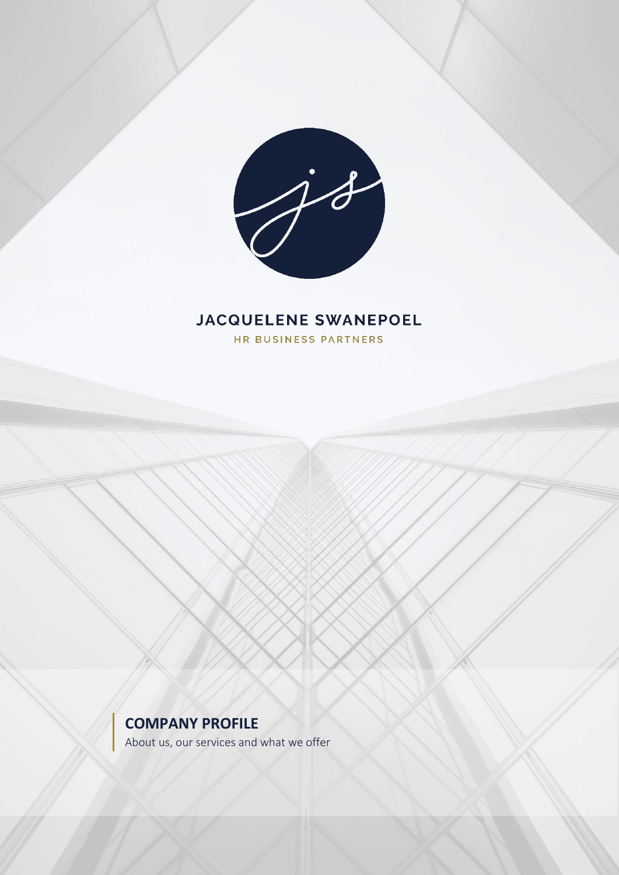

## **JACQUELENE SWANEPOEL**

HR BUSINESS PARTNERS

## **COMPANY PROFILE**

About us, our services and what we offer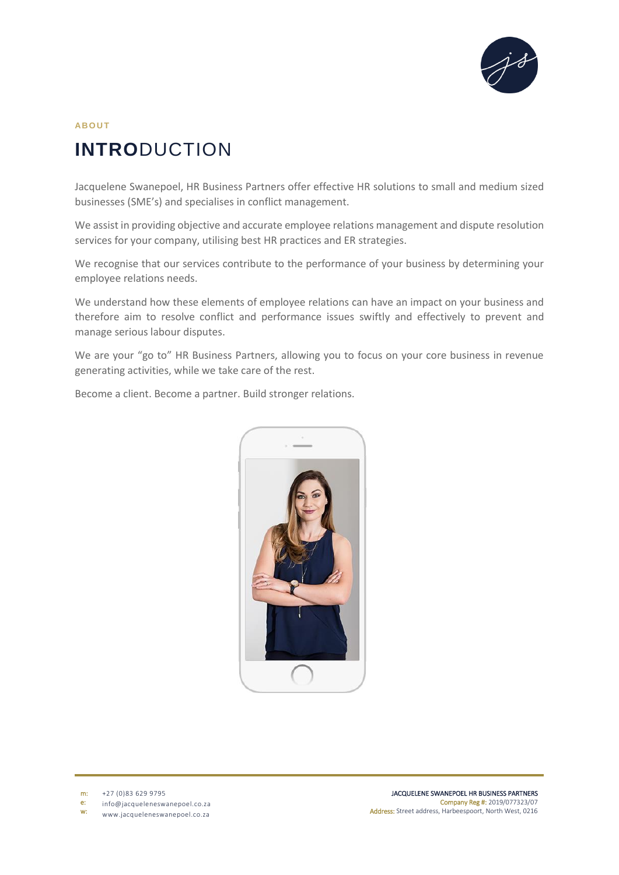

# **AB O U T INTRO**DUCTION

Jacquelene Swanepoel, HR Business Partners offer effective HR solutions to small and medium sized businesses (SME's) and specialises in conflict management.

We assist in providing objective and accurate employee relations management and dispute resolution services for your company, utilising best HR practices and ER strategies.

We recognise that our services contribute to the performance of your business by determining your employee relations needs.

We understand how these elements of employee relations can have an impact on your business and therefore aim to resolve conflict and performance issues swiftly and effectively to prevent and manage serious labour disputes.

We are your "go to" HR Business Partners, allowing you to focus on your core business in revenue generating activities, while we take care of the rest.

Become a client. Become a partner. Build stronger relations.



m: +27 (0)83 629 9795

e: info@jacqueleneswanepoel.co.za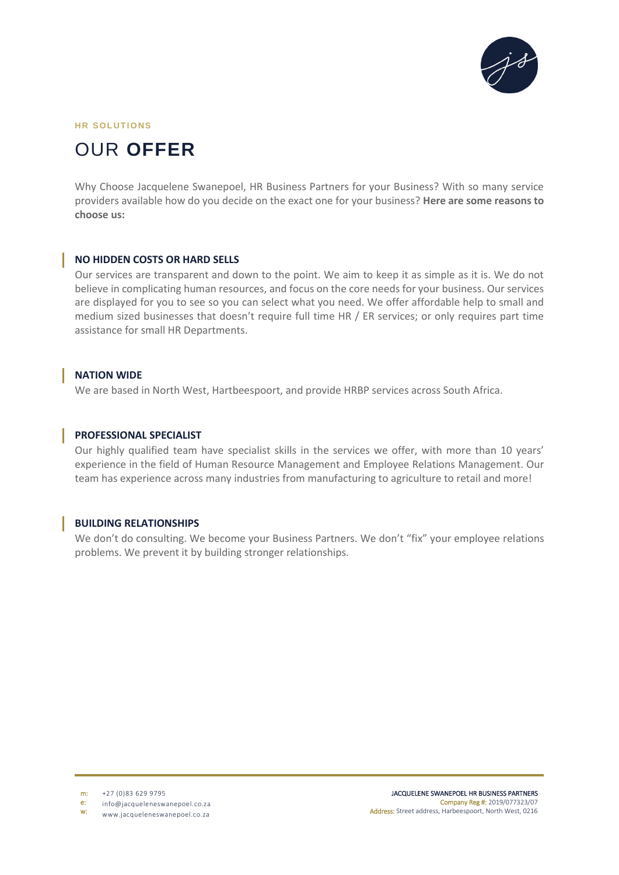

#### **HR SOLUTIONS**

# OUR **OFFER**

Why Choose Jacquelene Swanepoel, HR Business Partners for your Business? With so many service providers available how do you decide on the exact one for your business? **Here are some reasons to choose us:**

#### **NO HIDDEN COSTS OR HARD SELLS**

Our services are transparent and down to the point. We aim to keep it as simple as it is. We do not believe in complicating human resources, and focus on the core needs for your business. Our services are displayed for you to see so you can select what you need. We offer affordable help to small and medium sized businesses that doesn't require full time HR / ER services; or only requires part time assistance for small HR Departments.

#### **NATION WIDE**

We are based in North West, Hartbeespoort, and provide HRBP services across South Africa.

#### **PROFESSIONAL SPECIALIST**

Our highly qualified team have specialist skills in the services we offer, with more than 10 years' experience in the field of Human Resource Management and Employee Relations Management. Our team has experience across many industries from manufacturing to agriculture to retail and more!

#### **BUILDING RELATIONSHIPS**

We don't do consulting. We become your Business Partners. We don't "fix" your employee relations problems. We prevent it by building stronger relationships.

m: +27 (0)83 629 9795

e: info@jacqueleneswanepoel.co.za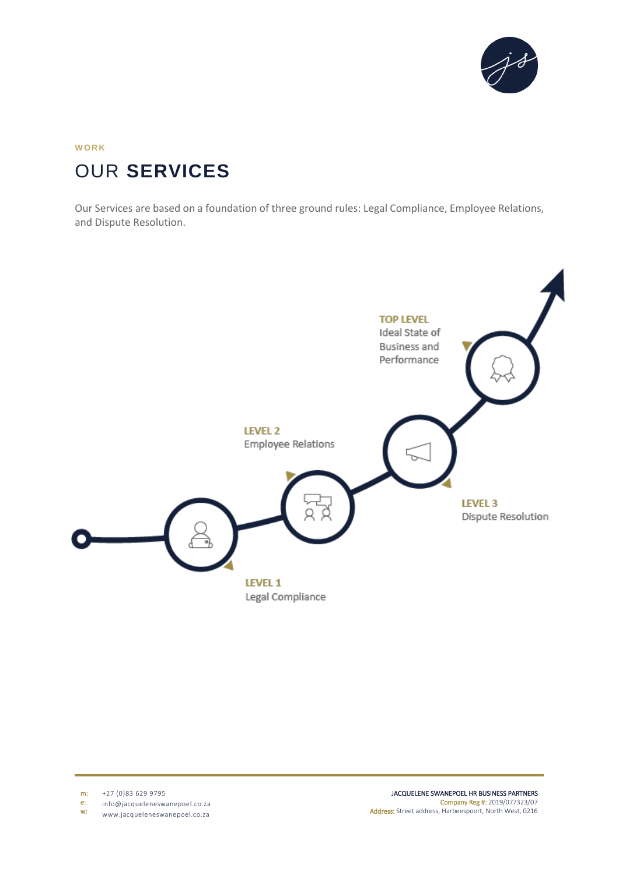

## **W ORK** OUR **SERVICES**

Our Services are based on a foundation of three ground rules: Legal Compliance, Employee Relations, and Dispute Resolution.



m: +27 (0)83 629 9795

e: info@jacqueleneswanepoel.co.za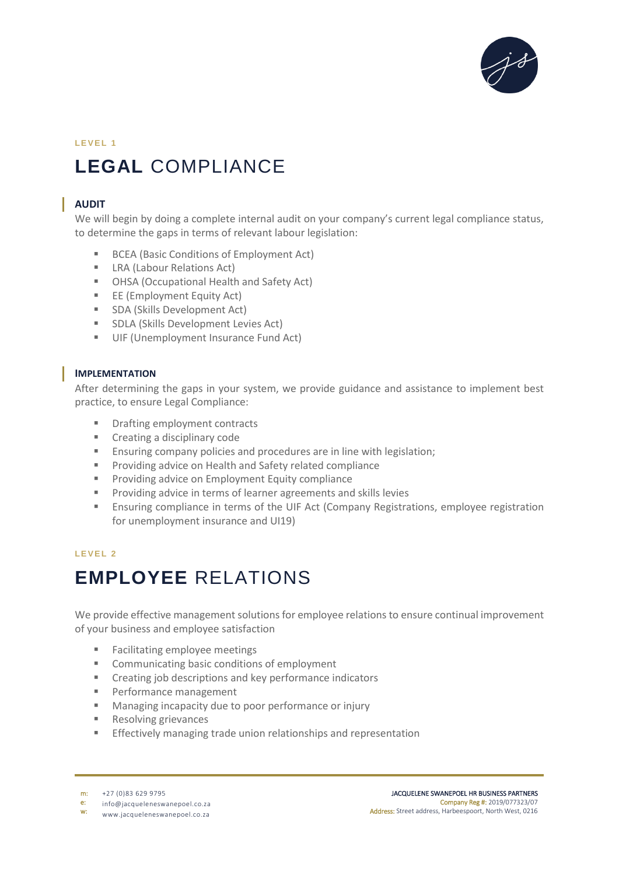

## LEVEL 1 **LEGAL** COMPLIANCE

## **AUDIT**

We will begin by doing a complete internal audit on your company's current legal compliance status, to determine the gaps in terms of relevant labour legislation:

- BCEA (Basic Conditions of Employment Act)
- **EXECUTE:** LRA (Labour Relations Act)
- OHSA (Occupational Health and Safety Act)
- **EE** (Employment Equity Act)
- **SDA (Skills Development Act)**
- **SDLA (Skills Development Levies Act)**
- UIF (Unemployment Insurance Fund Act)

### **IMPLEMENTATION**

After determining the gaps in your system, we provide guidance and assistance to implement best practice, to ensure Legal Compliance:

- **Drafting employment contracts**
- **Creating a disciplinary code**
- Ensuring company policies and procedures are in line with legislation;
- **Providing advice on Health and Safety related compliance**
- **Providing advice on Employment Equity compliance**
- **Providing advice in terms of learner agreements and skills levies**
- Ensuring compliance in terms of the UIF Act (Company Registrations, employee registration for unemployment insurance and UI19)

### **LEVEL 2**

# **EMPLOYEE** RELATIONS

We provide effective management solutions for employee relations to ensure continual improvement of your business and employee satisfaction

- **Facilitating employee meetings**
- **EXECOMMUNICATING COMMUNICATION COMMUNICATION COMMUNICATION CONDUMICATION CONDUMICATION**
- **EXECT** Creating job descriptions and key performance indicators
- **Performance management**
- **Managing incapacity due to poor performance or injury**
- **Resolving grievances**
- **Effectively managing trade union relationships and representation**

e: info@jacqueleneswanepoel.co.za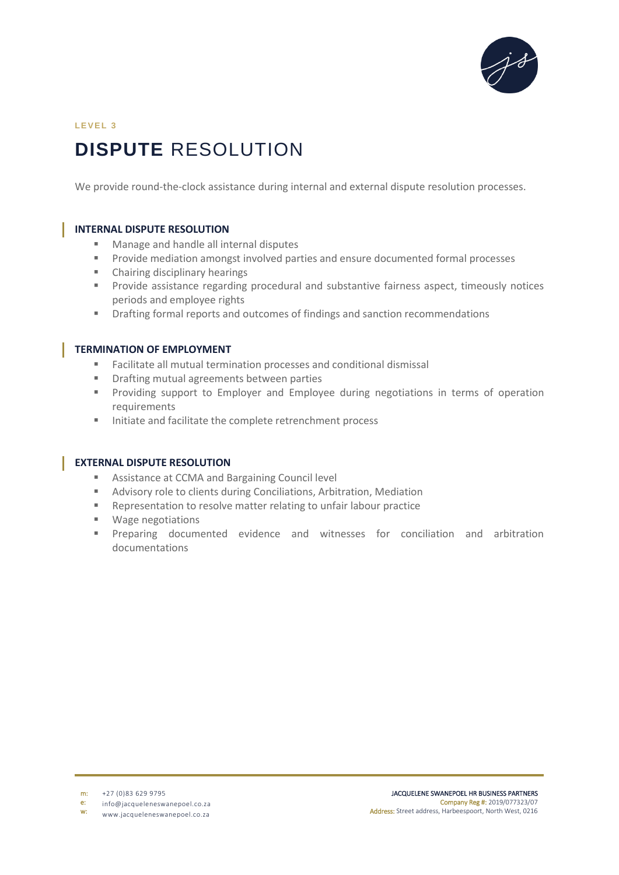

## LEVEL 3 **DISPUTE** RESOLUTION

We provide round-the-clock assistance during internal and external dispute resolution processes.

#### **INTERNAL DISPUTE RESOLUTION**

- Manage and handle all internal disputes
- **Provide mediation amongst involved parties and ensure documented formal processes**
- Chairing disciplinary hearings
- **Provide assistance regarding procedural and substantive fairness aspect, timeously notices** periods and employee rights
- Drafting formal reports and outcomes of findings and sanction recommendations

#### **TERMINATION OF EMPLOYMENT**

- Facilitate all mutual termination processes and conditional dismissal
- **Parafting mutual agreements between parties**
- **Providing support to Employer and Employee during negotiations in terms of operation** requirements
- Initiate and facilitate the complete retrenchment process

#### **EXTERNAL DISPUTE RESOLUTION**

- Assistance at CCMA and Bargaining Council level
- **Advisory role to clients during Conciliations, Arbitration, Mediation**
- **Representation to resolve matter relating to unfair labour practice**
- **Wage negotiations**
- Preparing documented evidence and witnesses for conciliation and arbitration documentations

m: +27 (0)83 629 9795

e: info@jacqueleneswanepoel.co.za